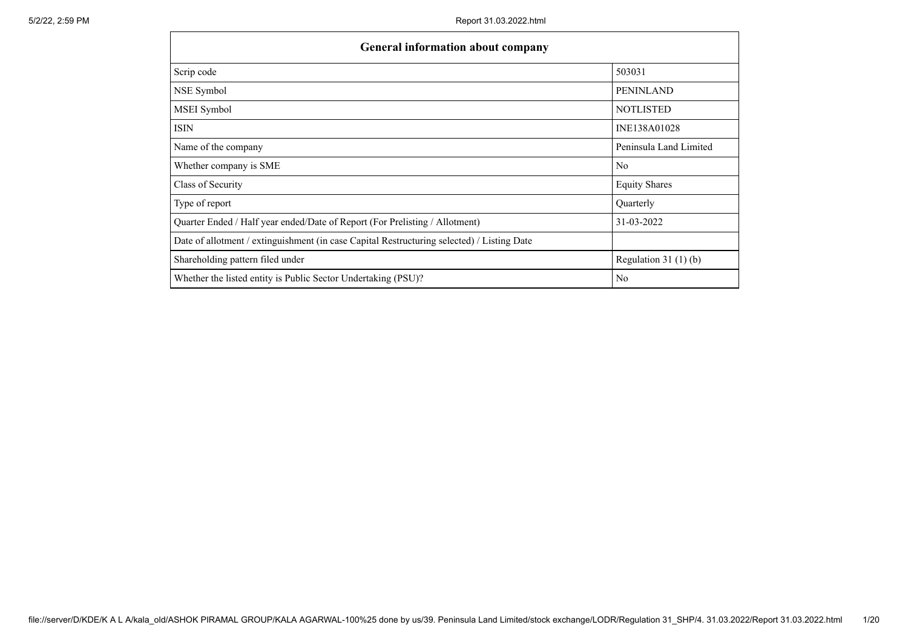| <b>General information about company</b>                                                   |                        |  |  |  |  |  |  |
|--------------------------------------------------------------------------------------------|------------------------|--|--|--|--|--|--|
| Scrip code                                                                                 | 503031                 |  |  |  |  |  |  |
| NSE Symbol                                                                                 | <b>PENINLAND</b>       |  |  |  |  |  |  |
| MSEI Symbol                                                                                | <b>NOTLISTED</b>       |  |  |  |  |  |  |
| ISIN                                                                                       | INE138A01028           |  |  |  |  |  |  |
| Name of the company                                                                        | Peninsula Land Limited |  |  |  |  |  |  |
| Whether company is SME                                                                     | N <sub>o</sub>         |  |  |  |  |  |  |
| Class of Security                                                                          | <b>Equity Shares</b>   |  |  |  |  |  |  |
| Type of report                                                                             | Quarterly              |  |  |  |  |  |  |
| Quarter Ended / Half year ended/Date of Report (For Prelisting / Allotment)                | 31-03-2022             |  |  |  |  |  |  |
| Date of allotment / extinguishment (in case Capital Restructuring selected) / Listing Date |                        |  |  |  |  |  |  |
| Shareholding pattern filed under                                                           | Regulation $31(1)(b)$  |  |  |  |  |  |  |
| Whether the listed entity is Public Sector Undertaking (PSU)?                              | No                     |  |  |  |  |  |  |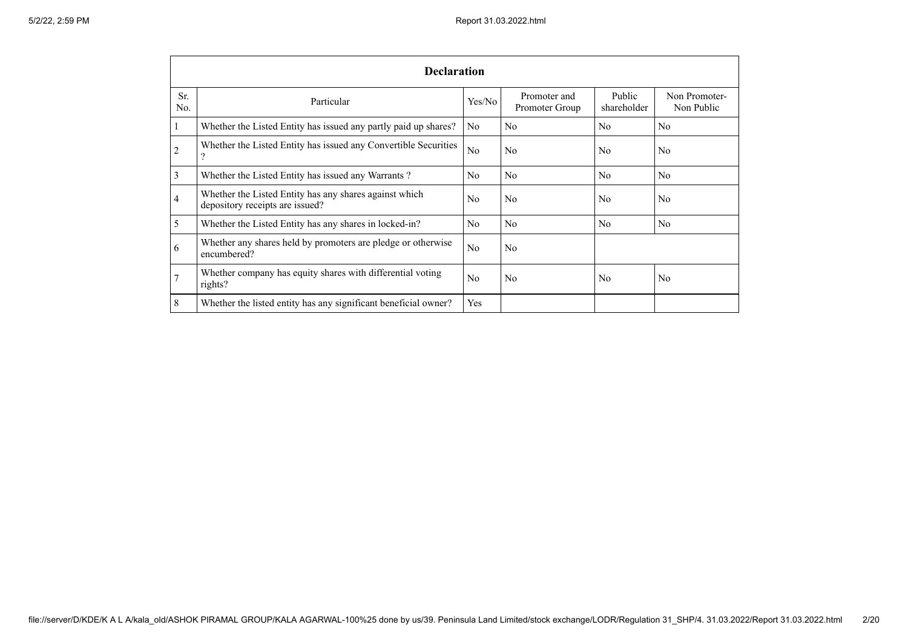|            | <b>Declaration</b>                                                                        |                |                                |                       |                             |  |  |  |  |
|------------|-------------------------------------------------------------------------------------------|----------------|--------------------------------|-----------------------|-----------------------------|--|--|--|--|
| Sr.<br>No. | Particular                                                                                | Yes/No         | Promoter and<br>Promoter Group | Public<br>shareholder | Non Promoter-<br>Non Public |  |  |  |  |
| $\perp$    | Whether the Listed Entity has issued any partly paid up shares?                           | N <sub>o</sub> | N <sub>o</sub>                 | N <sub>o</sub>        | N <sub>o</sub>              |  |  |  |  |
| 2          | Whether the Listed Entity has issued any Convertible Securities                           | No             | N <sub>o</sub>                 | N <sub>o</sub>        | N <sub>o</sub>              |  |  |  |  |
| 3          | Whether the Listed Entity has issued any Warrants?                                        | N <sub>o</sub> | N <sub>o</sub>                 | N <sub>0</sub>        | N <sub>o</sub>              |  |  |  |  |
| 4          | Whether the Listed Entity has any shares against which<br>depository receipts are issued? | N <sub>0</sub> | N <sub>o</sub>                 | N <sub>o</sub>        | N <sub>o</sub>              |  |  |  |  |
| 5          | Whether the Listed Entity has any shares in locked-in?                                    | N <sub>o</sub> | N <sub>o</sub>                 | N <sub>o</sub>        | N <sub>o</sub>              |  |  |  |  |
| 6          | Whether any shares held by promoters are pledge or otherwise<br>encumbered?               | No             | N <sub>o</sub>                 |                       |                             |  |  |  |  |
| 7          | Whether company has equity shares with differential voting<br>rights?                     | No             | N <sub>o</sub>                 | No                    | N <sub>o</sub>              |  |  |  |  |
| 8          | Whether the listed entity has any significant beneficial owner?                           | Yes            |                                |                       |                             |  |  |  |  |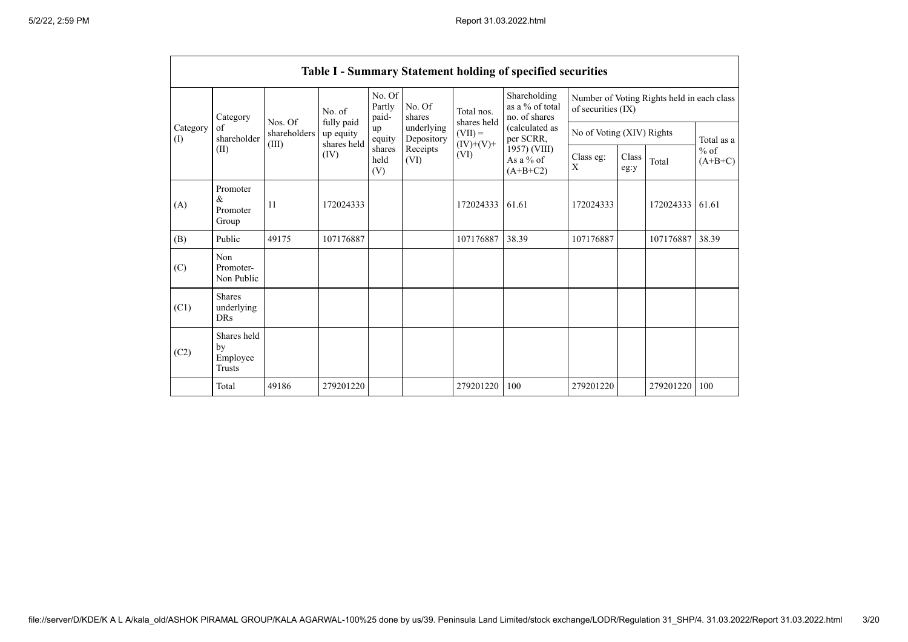|                               |                                                              |                                  |                                        |                           |                          |                                        | Table I - Summary Statement holding of specified securities |                    |                           |                                            |                     |  |
|-------------------------------|--------------------------------------------------------------|----------------------------------|----------------------------------------|---------------------------|--------------------------|----------------------------------------|-------------------------------------------------------------|--------------------|---------------------------|--------------------------------------------|---------------------|--|
| Category<br>of<br>(I)<br>(II) | Category                                                     |                                  | No. of                                 | No. Of<br>Partly<br>paid- | No. Of<br>shares         | Total nos.<br>shares held<br>$(VII) =$ | Shareholding<br>as a % of total<br>no. of shares            | of securities (IX) |                           | Number of Voting Rights held in each class |                     |  |
|                               | shareholder                                                  | Nos. Of<br>shareholders<br>(III) | fully paid<br>up equity<br>shares held | up<br>equity              | underlying<br>Depository |                                        | (calculated as<br>per SCRR,                                 |                    | No of Voting (XIV) Rights |                                            | Total as a          |  |
|                               |                                                              |                                  | (IV)                                   | shares<br>held<br>(V)     | Receipts<br>(VI)         | $(IV)+(V)+$<br>(VI)                    | 1957) (VIII)<br>As a % of<br>$(A+B+C2)$                     | Class eg:<br>X     | Class<br>eg:y             | Total                                      | $%$ of<br>$(A+B+C)$ |  |
| (A)                           | Promoter<br>$\mathcal{R}_{\mathcal{L}}$<br>Promoter<br>Group | 11                               | 172024333                              |                           |                          | 172024333                              | 61.61                                                       | 172024333          |                           | 172024333                                  | 61.61               |  |
| (B)                           | Public                                                       | 49175                            | 107176887                              |                           |                          | 107176887                              | 38.39                                                       | 107176887          |                           | 107176887                                  | 38.39               |  |
| (C)                           | Non<br>Promoter-<br>Non Public                               |                                  |                                        |                           |                          |                                        |                                                             |                    |                           |                                            |                     |  |
| (C1)                          | Shares<br>underlying<br><b>DRs</b>                           |                                  |                                        |                           |                          |                                        |                                                             |                    |                           |                                            |                     |  |
| (C2)                          | Shares held<br>by<br>Employee<br><b>Trusts</b>               |                                  |                                        |                           |                          |                                        |                                                             |                    |                           |                                            |                     |  |
|                               | Total                                                        | 49186                            | 279201220                              |                           |                          | 279201220                              | 100                                                         | 279201220          |                           | 279201220                                  | 100                 |  |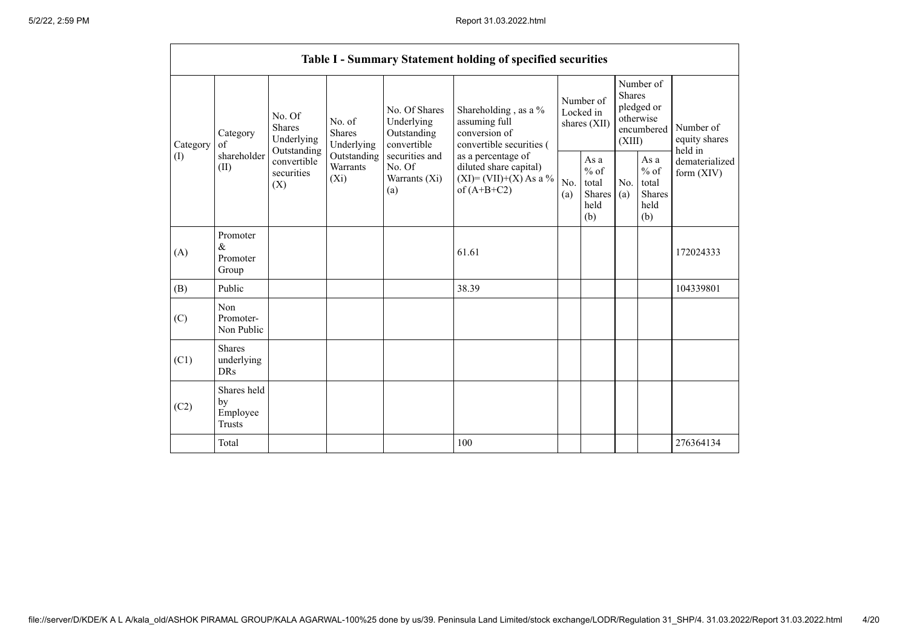|                 |                                                |                                               |                                                                             |                                                                                                               | Table I - Summary Statement holding of specified securities                                |                                        |                                                  |                                                                               |                                                  |                                       |
|-----------------|------------------------------------------------|-----------------------------------------------|-----------------------------------------------------------------------------|---------------------------------------------------------------------------------------------------------------|--------------------------------------------------------------------------------------------|----------------------------------------|--------------------------------------------------|-------------------------------------------------------------------------------|--------------------------------------------------|---------------------------------------|
| Category<br>(I) | Category<br>of<br>shareholder<br>(II)          | No. Of<br>Shares<br>Underlying<br>Outstanding | No. of<br><b>Shares</b><br>Underlying<br>Outstanding<br>Warrants<br>$(X_i)$ | No. Of Shares<br>Underlying<br>Outstanding<br>convertible<br>securities and<br>No. Of<br>Warrants (Xi)<br>(a) | Shareholding, as a %<br>assuming full<br>conversion of<br>convertible securities (         | Number of<br>Locked in<br>shares (XII) |                                                  | Number of<br><b>Shares</b><br>pledged or<br>otherwise<br>encumbered<br>(XIII) |                                                  | Number of<br>equity shares<br>held in |
|                 |                                                | convertible<br>securities<br>(X)              |                                                                             |                                                                                                               | as a percentage of<br>diluted share capital)<br>$(XI) = (VII)+(X) As a %$<br>of $(A+B+C2)$ | No.<br>(a)                             | As a<br>$%$ of<br>total<br>Shares<br>held<br>(b) | No.<br>(a)                                                                    | As a<br>$%$ of<br>total<br>Shares<br>held<br>(b) | dematerialized<br>form $(XIV)$        |
| (A)             | Promoter<br>$\&$<br>Promoter<br>Group          |                                               |                                                                             |                                                                                                               | 61.61                                                                                      |                                        |                                                  |                                                                               |                                                  | 172024333                             |
| (B)             | Public                                         |                                               |                                                                             |                                                                                                               | 38.39                                                                                      |                                        |                                                  |                                                                               |                                                  | 104339801                             |
| (C)             | Non<br>Promoter-<br>Non Public                 |                                               |                                                                             |                                                                                                               |                                                                                            |                                        |                                                  |                                                                               |                                                  |                                       |
| (C1)            | <b>Shares</b><br>underlying<br><b>DRs</b>      |                                               |                                                                             |                                                                                                               |                                                                                            |                                        |                                                  |                                                                               |                                                  |                                       |
| (C2)            | Shares held<br>by<br>Employee<br><b>Trusts</b> |                                               |                                                                             |                                                                                                               |                                                                                            |                                        |                                                  |                                                                               |                                                  |                                       |
|                 | Total                                          |                                               |                                                                             |                                                                                                               | 100                                                                                        |                                        |                                                  |                                                                               |                                                  | 276364134                             |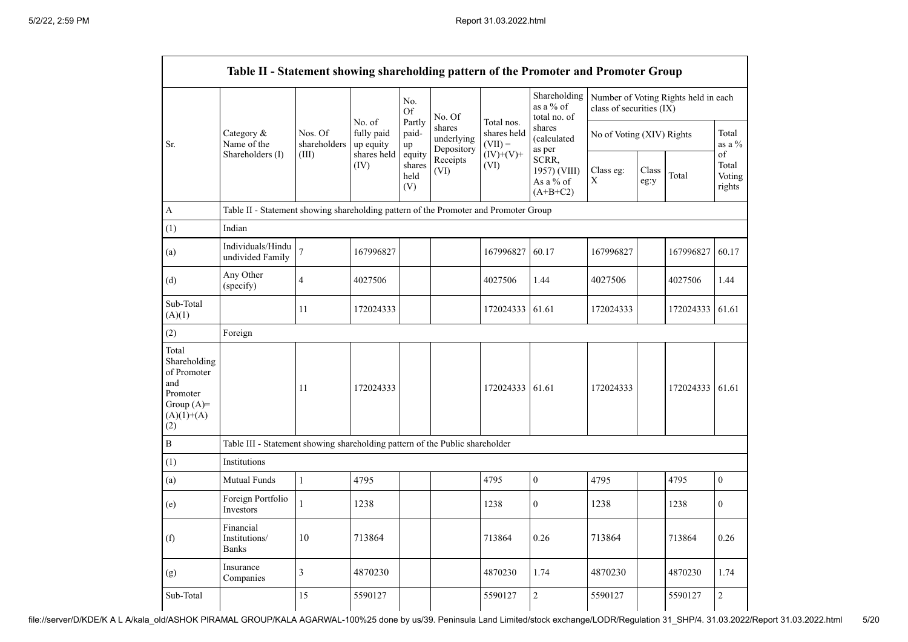|                                                                                                | Table II - Statement showing shareholding pattern of the Promoter and Promoter Group |                                                                                      |                                   |                                 |                                    |                                        |                                                  |                           |               |                                      |                                 |
|------------------------------------------------------------------------------------------------|--------------------------------------------------------------------------------------|--------------------------------------------------------------------------------------|-----------------------------------|---------------------------------|------------------------------------|----------------------------------------|--------------------------------------------------|---------------------------|---------------|--------------------------------------|---------------------------------|
|                                                                                                |                                                                                      |                                                                                      | No. of<br>fully paid<br>up equity | No.<br>Of                       | No. Of                             |                                        | Shareholding<br>as a % of<br>total no. of        | class of securities (IX)  |               | Number of Voting Rights held in each |                                 |
| Sr.                                                                                            | Category &<br>Name of the<br>Shareholders (I)                                        | Nos. Of<br>shareholders<br>(III)                                                     |                                   | Partly<br>paid-<br>up           | shares<br>underlying<br>Depository | Total nos.<br>shares held<br>$(VII) =$ | shares<br>(calculated<br>as per                  | No of Voting (XIV) Rights |               |                                      | Total<br>as a $\%$              |
|                                                                                                |                                                                                      |                                                                                      | shares held<br>(IV)               | equity<br>shares<br>held<br>(V) | Receipts<br>(VI)                   | $(IV)+(V)+$<br>(VI)                    | SCRR,<br>1957) (VIII)<br>As a % of<br>$(A+B+C2)$ | Class eg:<br>$\mathbf X$  | Class<br>eg:y | Total                                | of<br>Total<br>Voting<br>rights |
| A                                                                                              |                                                                                      | Table II - Statement showing shareholding pattern of the Promoter and Promoter Group |                                   |                                 |                                    |                                        |                                                  |                           |               |                                      |                                 |
| (1)                                                                                            | Indian                                                                               |                                                                                      |                                   |                                 |                                    |                                        |                                                  |                           |               |                                      |                                 |
| (a)                                                                                            | Individuals/Hindu<br>undivided Family                                                | $\overline{7}$                                                                       | 167996827                         |                                 |                                    | 167996827                              | 60.17                                            | 167996827                 |               | 167996827                            | 60.17                           |
| (d)                                                                                            | Any Other<br>(specify)                                                               | $\overline{4}$                                                                       | 4027506                           |                                 |                                    | 4027506                                | 1.44                                             | 4027506                   |               | 4027506                              | 1.44                            |
| Sub-Total<br>(A)(1)                                                                            |                                                                                      | 11                                                                                   | 172024333                         |                                 |                                    | 172024333                              | 61.61                                            | 172024333                 |               | 172024333                            | 61.61                           |
| (2)                                                                                            | Foreign                                                                              |                                                                                      |                                   |                                 |                                    |                                        |                                                  |                           |               |                                      |                                 |
| Total<br>Shareholding<br>of Promoter<br>and<br>Promoter<br>Group $(A)=$<br>$(A)(1)+(A)$<br>(2) |                                                                                      | 11                                                                                   | 172024333                         |                                 |                                    | 172024333 61.61                        |                                                  | 172024333                 |               | 172024333                            | 61.61                           |
| $\, {\bf B}$                                                                                   | Table III - Statement showing shareholding pattern of the Public shareholder         |                                                                                      |                                   |                                 |                                    |                                        |                                                  |                           |               |                                      |                                 |
| (1)                                                                                            | Institutions                                                                         |                                                                                      |                                   |                                 |                                    |                                        |                                                  |                           |               |                                      |                                 |
| (a)                                                                                            | Mutual Funds                                                                         | $\mathbf{1}$                                                                         | 4795                              |                                 |                                    | 4795                                   | $\boldsymbol{0}$                                 | 4795                      |               | 4795                                 | $\overline{0}$                  |
| (e)                                                                                            | Foreign Portfolio<br>Investors                                                       | 1                                                                                    | 1238                              |                                 |                                    | 1238                                   | $\mathbf{0}$                                     | 1238                      |               | 1238                                 | $\mathbf{0}$                    |
| (f)                                                                                            | Financial<br>Institutions/<br><b>Banks</b>                                           | 10                                                                                   | 713864                            |                                 |                                    | 713864                                 | 0.26                                             | 713864                    |               | 713864                               | 0.26                            |
| (g)                                                                                            | Insurance<br>Companies                                                               | $\overline{3}$                                                                       | 4870230                           |                                 |                                    | 4870230                                | 1.74                                             | 4870230                   |               | 4870230                              | 1.74                            |
| Sub-Total                                                                                      |                                                                                      | 15                                                                                   | 5590127                           |                                 |                                    | 5590127                                | $\overline{c}$                                   | 5590127                   |               | 5590127                              | $\overline{c}$                  |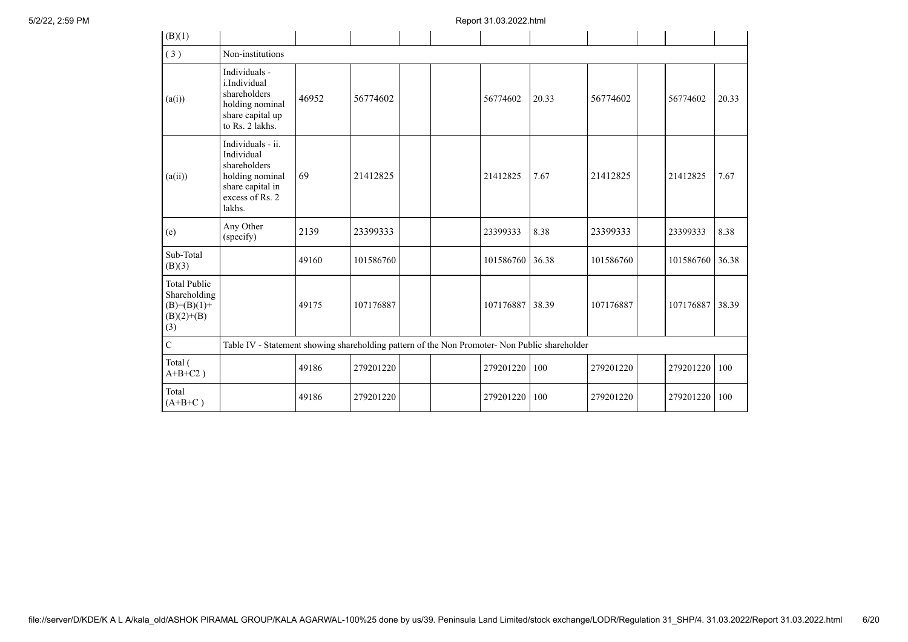| (B)(1)                                                                        |                                                                                                                     |       |           |  |           |       |           |           |       |
|-------------------------------------------------------------------------------|---------------------------------------------------------------------------------------------------------------------|-------|-----------|--|-----------|-------|-----------|-----------|-------|
| (3)                                                                           | Non-institutions                                                                                                    |       |           |  |           |       |           |           |       |
| (a(i))                                                                        | Individuals -<br>i.Individual<br>shareholders<br>holding nominal<br>share capital up<br>to Rs. 2 lakhs.             | 46952 | 56774602  |  | 56774602  | 20.33 | 56774602  | 56774602  | 20.33 |
| (a(ii))                                                                       | Individuals - ii.<br>Individual<br>shareholders<br>holding nominal<br>share capital in<br>excess of Rs. 2<br>lakhs. | 69    | 21412825  |  | 21412825  | 7.67  | 21412825  | 21412825  | 7.67  |
| (e)                                                                           | Any Other<br>(specify)                                                                                              | 2139  | 23399333  |  | 23399333  | 8.38  | 23399333  | 23399333  | 8.38  |
| Sub-Total<br>(B)(3)                                                           |                                                                                                                     | 49160 | 101586760 |  | 101586760 | 36.38 | 101586760 | 101586760 | 36.38 |
| <b>Total Public</b><br>Shareholding<br>$(B)= (B)(1) +$<br>$(B)(2)+(B)$<br>(3) |                                                                                                                     | 49175 | 107176887 |  | 107176887 | 38.39 | 107176887 | 107176887 | 38.39 |
| $\mathbf C$                                                                   | Table IV - Statement showing shareholding pattern of the Non Promoter- Non Public shareholder                       |       |           |  |           |       |           |           |       |
| Total (<br>$A+B+C2$ )                                                         |                                                                                                                     | 49186 | 279201220 |  | 279201220 | 100   | 279201220 | 279201220 | 100   |
| Total<br>$(A+B+C)$                                                            |                                                                                                                     | 49186 | 279201220 |  | 279201220 | 100   | 279201220 | 279201220 | 100   |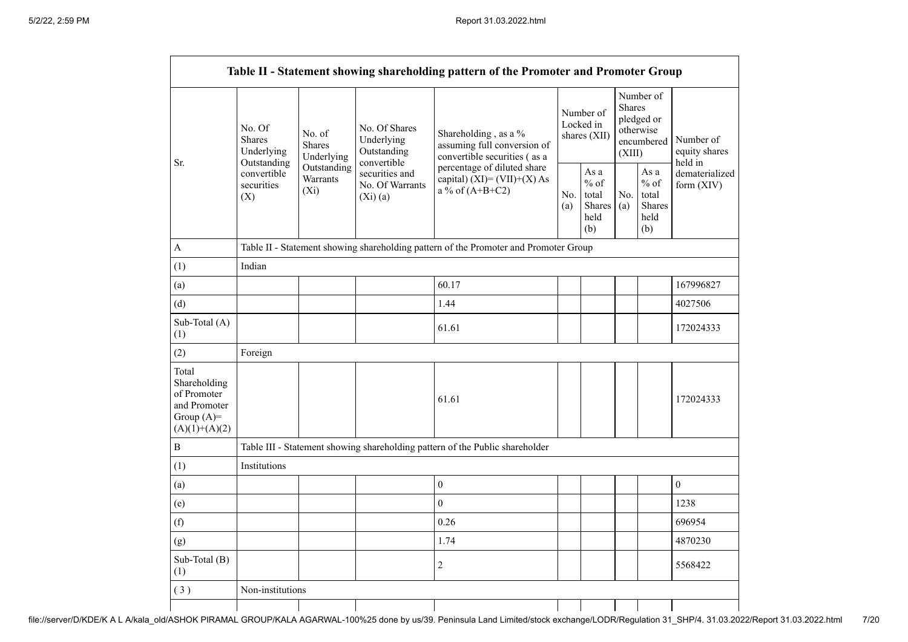|                                                                                         |                                                      |                                                                                      |                                                             | Table II - Statement showing shareholding pattern of the Promoter and Promoter Group |  |                                                  |                                                                               |                                                  |                                       |  |  |
|-----------------------------------------------------------------------------------------|------------------------------------------------------|--------------------------------------------------------------------------------------|-------------------------------------------------------------|--------------------------------------------------------------------------------------|--|--------------------------------------------------|-------------------------------------------------------------------------------|--------------------------------------------------|---------------------------------------|--|--|
| Sr.                                                                                     | No. Of<br><b>Shares</b><br>Underlying<br>Outstanding | No. of<br><b>Shares</b><br>Underlying                                                | No. Of Shares<br>Underlying<br>Outstanding                  | Shareholding, as a %<br>assuming full conversion of<br>convertible securities (as a  |  | Number of<br>Locked in<br>shares (XII)           | Number of<br><b>Shares</b><br>pledged or<br>otherwise<br>encumbered<br>(XIII) |                                                  | Number of<br>equity shares<br>held in |  |  |
|                                                                                         | convertible<br>securities<br>(X)                     | Outstanding<br>Warrants<br>$(X_i)$                                                   | convertible<br>securities and<br>No. Of Warrants<br>(Xi)(a) | percentage of diluted share<br>capital) $(XI) = (VII)+(X) As$<br>a % of $(A+B+C2)$   |  | As a<br>$%$ of<br>total<br>Shares<br>held<br>(b) | No.<br>(a)                                                                    | As a<br>$%$ of<br>total<br>Shares<br>held<br>(b) | dematerialized<br>form $(XIV)$        |  |  |
| A                                                                                       |                                                      | Table II - Statement showing shareholding pattern of the Promoter and Promoter Group |                                                             |                                                                                      |  |                                                  |                                                                               |                                                  |                                       |  |  |
| (1)                                                                                     | Indian                                               |                                                                                      |                                                             |                                                                                      |  |                                                  |                                                                               |                                                  |                                       |  |  |
| (a)                                                                                     |                                                      |                                                                                      |                                                             | 60.17                                                                                |  |                                                  |                                                                               |                                                  | 167996827                             |  |  |
| (d)                                                                                     |                                                      |                                                                                      |                                                             | 1.44                                                                                 |  |                                                  |                                                                               |                                                  | 4027506                               |  |  |
| Sub-Total (A)<br>(1)                                                                    |                                                      |                                                                                      |                                                             | 61.61                                                                                |  |                                                  |                                                                               |                                                  | 172024333                             |  |  |
| (2)                                                                                     | Foreign                                              |                                                                                      |                                                             |                                                                                      |  |                                                  |                                                                               |                                                  |                                       |  |  |
| Total<br>Shareholding<br>of Promoter<br>and Promoter<br>Group $(A)=$<br>$(A)(1)+(A)(2)$ |                                                      |                                                                                      |                                                             | 61.61                                                                                |  |                                                  |                                                                               |                                                  | 172024333                             |  |  |
| B                                                                                       |                                                      |                                                                                      |                                                             | Table III - Statement showing shareholding pattern of the Public shareholder         |  |                                                  |                                                                               |                                                  |                                       |  |  |
| (1)                                                                                     | Institutions                                         |                                                                                      |                                                             |                                                                                      |  |                                                  |                                                                               |                                                  |                                       |  |  |
| (a)                                                                                     |                                                      |                                                                                      |                                                             | $\boldsymbol{0}$                                                                     |  |                                                  |                                                                               |                                                  | $\mathbf{0}$                          |  |  |
| (e)                                                                                     |                                                      |                                                                                      |                                                             | $\theta$                                                                             |  |                                                  |                                                                               |                                                  | 1238                                  |  |  |
| (f)                                                                                     |                                                      |                                                                                      |                                                             | 0.26                                                                                 |  |                                                  |                                                                               |                                                  | 696954                                |  |  |
| (g)                                                                                     |                                                      |                                                                                      |                                                             | 1.74                                                                                 |  |                                                  |                                                                               |                                                  | 4870230                               |  |  |
| Sub-Total (B)<br>(1)                                                                    |                                                      |                                                                                      |                                                             | $\overline{2}$                                                                       |  |                                                  |                                                                               |                                                  | 5568422                               |  |  |
| (3)                                                                                     | Non-institutions                                     |                                                                                      |                                                             |                                                                                      |  |                                                  |                                                                               |                                                  |                                       |  |  |
|                                                                                         |                                                      |                                                                                      |                                                             |                                                                                      |  |                                                  |                                                                               |                                                  |                                       |  |  |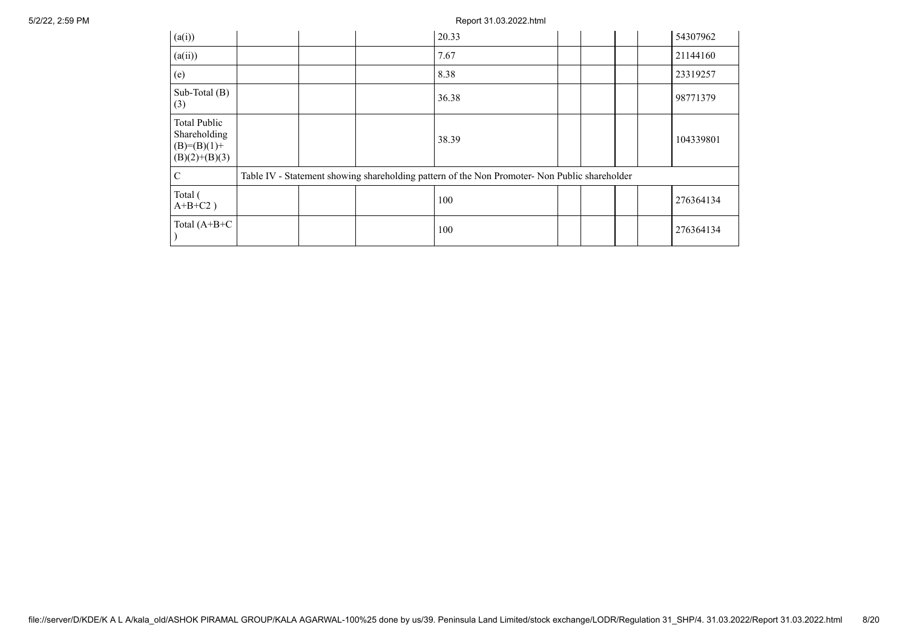| (a(i))                                                                    |  | 20.33                                                                                         |  |  | 54307962  |
|---------------------------------------------------------------------------|--|-----------------------------------------------------------------------------------------------|--|--|-----------|
| (a(ii))                                                                   |  | 7.67                                                                                          |  |  | 21144160  |
| (e)                                                                       |  | 8.38                                                                                          |  |  | 23319257  |
| Sub-Total $(B)$<br>(3)                                                    |  | 36.38                                                                                         |  |  | 98771379  |
| <b>Total Public</b><br>Shareholding<br>$(B)= (B)(1) +$<br>$(B)(2)+(B)(3)$ |  | 38.39                                                                                         |  |  | 104339801 |
| $\mathcal{C}$                                                             |  | Table IV - Statement showing shareholding pattern of the Non Promoter- Non Public shareholder |  |  |           |
| Total (<br>$A+B+C2$ )                                                     |  | 100                                                                                           |  |  | 276364134 |
| Total $(A+B+C)$                                                           |  | 100                                                                                           |  |  | 276364134 |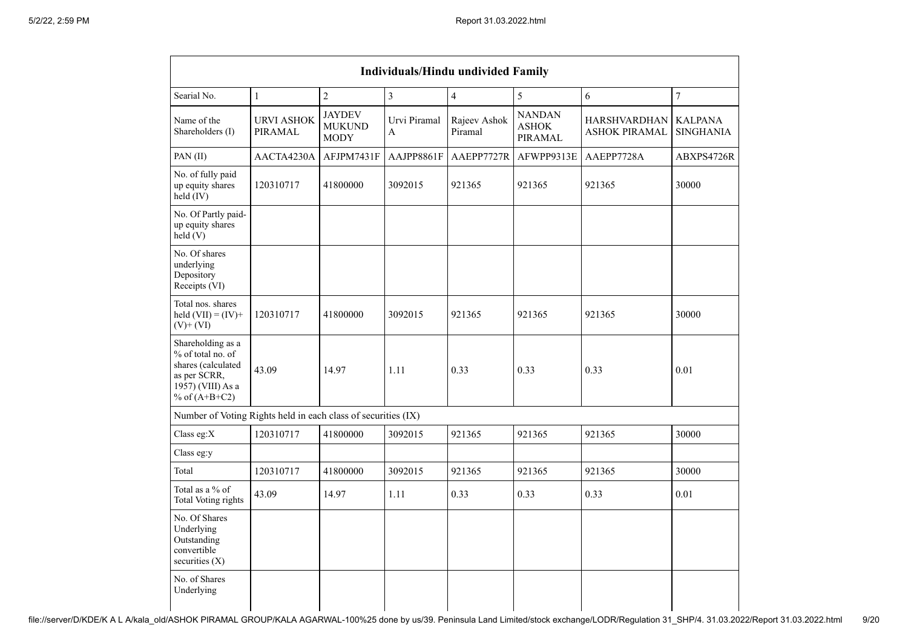| <b>Individuals/Hindu undivided Family</b>                                                                            |                              |                                               |                   |                         |                                          |                                             |                                    |  |
|----------------------------------------------------------------------------------------------------------------------|------------------------------|-----------------------------------------------|-------------------|-------------------------|------------------------------------------|---------------------------------------------|------------------------------------|--|
| Searial No.                                                                                                          | $\mathbf{1}$                 | $\overline{2}$                                | $\overline{3}$    | $\overline{4}$          | 5                                        | 6                                           | $\boldsymbol{7}$                   |  |
| Name of the<br>Shareholders (I)                                                                                      | <b>URVI ASHOK</b><br>PIRAMAL | <b>JAYDEV</b><br><b>MUKUND</b><br><b>MODY</b> | Urvi Piramal<br>A | Rajeev Ashok<br>Piramal | <b>NANDAN</b><br><b>ASHOK</b><br>PIRAMAL | <b>HARSHVARDHAN</b><br><b>ASHOK PIRAMAL</b> | <b>KALPANA</b><br><b>SINGHANIA</b> |  |
| PAN(II)                                                                                                              | AACTA4230A                   | AFJPM7431F                                    | AAJPP8861F        | AAEPP7727R              | AFWPP9313E                               | AAEPP7728A                                  | ABXPS4726R                         |  |
| No. of fully paid<br>up equity shares<br>held (IV)                                                                   | 120310717                    | 41800000                                      | 3092015           | 921365                  | 921365                                   | 921365                                      | 30000                              |  |
| No. Of Partly paid-<br>up equity shares<br>held(V)                                                                   |                              |                                               |                   |                         |                                          |                                             |                                    |  |
| No. Of shares<br>underlying<br>Depository<br>Receipts (VI)                                                           |                              |                                               |                   |                         |                                          |                                             |                                    |  |
| Total nos. shares<br>held $(VII) = (IV) +$<br>$(V)$ + $(VI)$                                                         | 120310717                    | 41800000                                      | 3092015           | 921365                  | 921365                                   | 921365                                      | 30000                              |  |
| Shareholding as a<br>% of total no. of<br>shares (calculated<br>as per SCRR,<br>1957) (VIII) As a<br>% of $(A+B+C2)$ | 43.09                        | 14.97                                         | 1.11              | 0.33                    | 0.33                                     | 0.33                                        | 0.01                               |  |
| Number of Voting Rights held in each class of securities (IX)                                                        |                              |                                               |                   |                         |                                          |                                             |                                    |  |
| Class eg:X                                                                                                           | 120310717                    | 41800000                                      | 3092015           | 921365                  | 921365                                   | 921365                                      | 30000                              |  |
| Class eg:y                                                                                                           |                              |                                               |                   |                         |                                          |                                             |                                    |  |
| Total                                                                                                                | 120310717                    | 41800000                                      | 3092015           | 921365                  | 921365                                   | 921365                                      | 30000                              |  |
| Total as a % of<br><b>Total Voting rights</b>                                                                        | 43.09                        | 14.97                                         | 1.11              | 0.33                    | 0.33                                     | 0.33                                        | 0.01                               |  |
| No. Of Shares<br>Underlying<br>Outstanding<br>convertible<br>securities $(X)$                                        |                              |                                               |                   |                         |                                          |                                             |                                    |  |
| No. of Shares<br>Underlying                                                                                          |                              |                                               |                   |                         |                                          |                                             |                                    |  |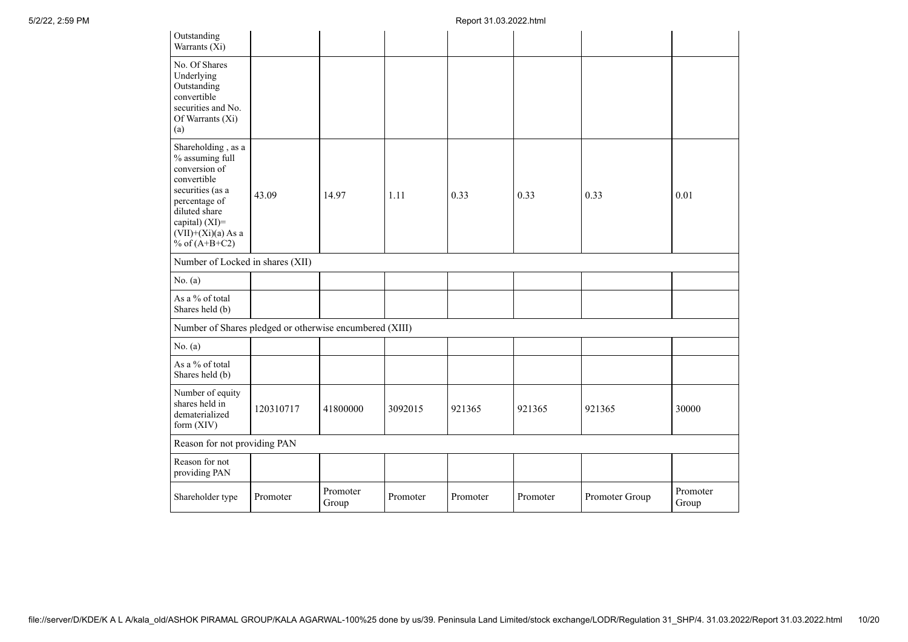| Outstanding<br>Warrants (Xi)                                                                                                                                                             |           |                   |          |          |          |                |                   |
|------------------------------------------------------------------------------------------------------------------------------------------------------------------------------------------|-----------|-------------------|----------|----------|----------|----------------|-------------------|
| No. Of Shares<br>Underlying<br>Outstanding<br>convertible<br>securities and No.<br>Of Warrants (Xi)<br>(a)                                                                               |           |                   |          |          |          |                |                   |
| Shareholding, as a<br>% assuming full<br>conversion of<br>convertible<br>securities (as a<br>percentage of<br>diluted share<br>capital) (XI)=<br>$(VII)+(Xi)(a)$ As a<br>% of $(A+B+C2)$ | 43.09     | 14.97             | 1.11     | 0.33     | 0.33     | 0.33           | 0.01              |
| Number of Locked in shares (XII)                                                                                                                                                         |           |                   |          |          |          |                |                   |
| No. $(a)$                                                                                                                                                                                |           |                   |          |          |          |                |                   |
| As a % of total<br>Shares held (b)                                                                                                                                                       |           |                   |          |          |          |                |                   |
| Number of Shares pledged or otherwise encumbered (XIII)                                                                                                                                  |           |                   |          |          |          |                |                   |
| No. (a)                                                                                                                                                                                  |           |                   |          |          |          |                |                   |
| As a % of total<br>Shares held (b)                                                                                                                                                       |           |                   |          |          |          |                |                   |
| Number of equity<br>shares held in<br>dematerialized<br>form (XIV)                                                                                                                       | 120310717 | 41800000          | 3092015  | 921365   | 921365   | 921365         | 30000             |
| Reason for not providing PAN                                                                                                                                                             |           |                   |          |          |          |                |                   |
| Reason for not<br>providing PAN                                                                                                                                                          |           |                   |          |          |          |                |                   |
| Shareholder type                                                                                                                                                                         | Promoter  | Promoter<br>Group | Promoter | Promoter | Promoter | Promoter Group | Promoter<br>Group |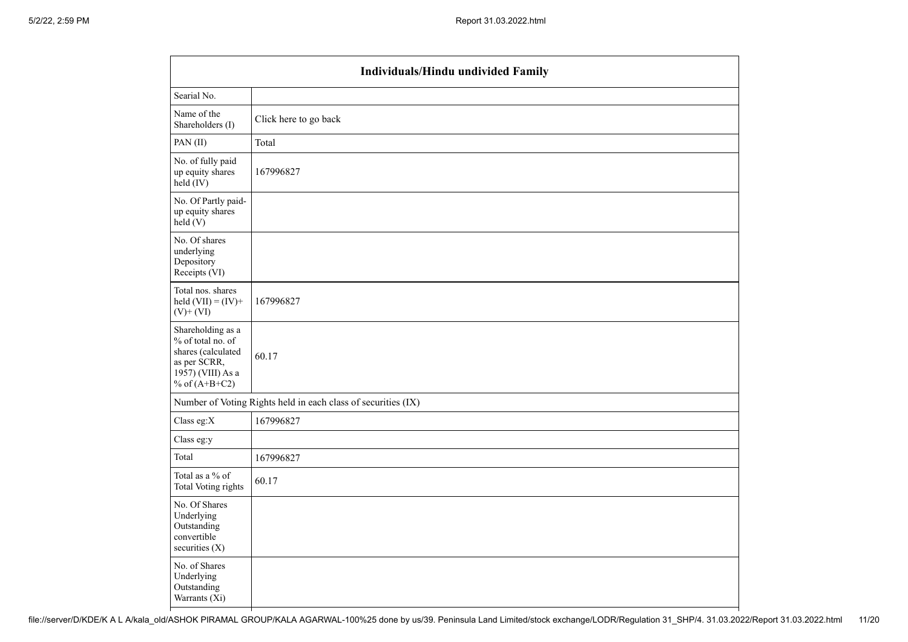|                                                                                                                      | <b>Individuals/Hindu undivided Family</b>                     |
|----------------------------------------------------------------------------------------------------------------------|---------------------------------------------------------------|
| Searial No.                                                                                                          |                                                               |
| Name of the<br>Shareholders (I)                                                                                      | Click here to go back                                         |
| PAN(II)                                                                                                              | Total                                                         |
| No. of fully paid<br>up equity shares<br>$held$ (IV)                                                                 | 167996827                                                     |
| No. Of Partly paid-<br>up equity shares<br>held(V)                                                                   |                                                               |
| No. Of shares<br>underlying<br>Depository<br>Receipts (VI)                                                           |                                                               |
| Total nos. shares<br>held $(VII) = (IV) +$<br>$(V)$ + $(VI)$                                                         | 167996827                                                     |
| Shareholding as a<br>% of total no. of<br>shares (calculated<br>as per SCRR,<br>1957) (VIII) As a<br>% of $(A+B+C2)$ | 60.17                                                         |
|                                                                                                                      | Number of Voting Rights held in each class of securities (IX) |
| Class eg:X                                                                                                           | 167996827                                                     |
| Class eg:y                                                                                                           |                                                               |
| Total                                                                                                                | 167996827                                                     |
| Total as a % of<br><b>Total Voting rights</b>                                                                        | 60.17                                                         |
| No. Of Shares<br>Underlying<br>Outstanding<br>convertible<br>securities (X)                                          |                                                               |
| No. of Shares<br>Underlying<br>Outstanding<br>Warrants $(X_i)$                                                       |                                                               |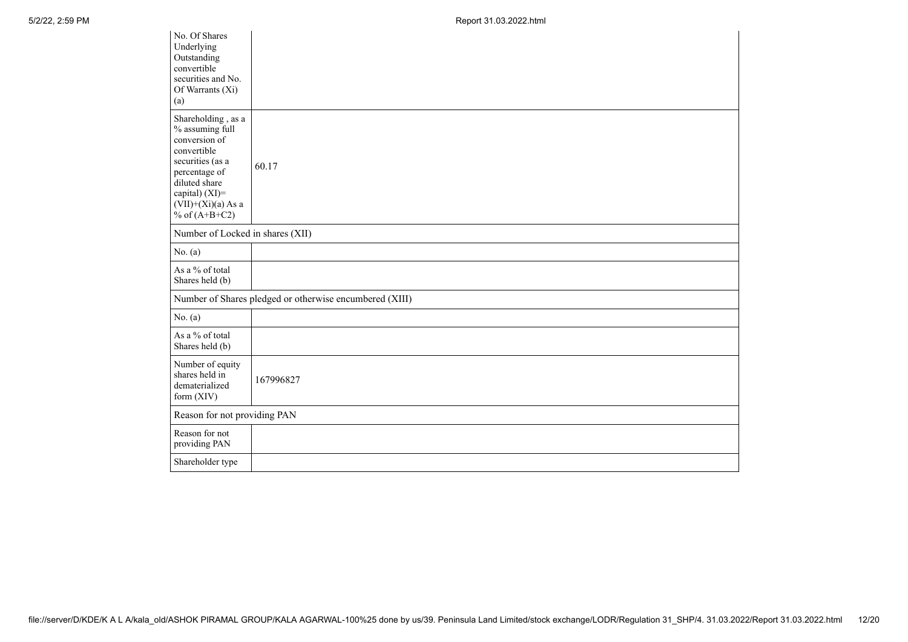| No. Of Shares<br>Underlying<br>Outstanding<br>convertible<br>securities and No.<br>Of Warrants (Xi)<br>(a)                                                                               |                                                         |
|------------------------------------------------------------------------------------------------------------------------------------------------------------------------------------------|---------------------------------------------------------|
| Shareholding, as a<br>% assuming full<br>conversion of<br>convertible<br>securities (as a<br>percentage of<br>diluted share<br>capital) (XI)=<br>$(VII)+(Xi)(a)$ As a<br>% of $(A+B+C2)$ | 60.17                                                   |
| Number of Locked in shares (XII)                                                                                                                                                         |                                                         |
| No. (a)                                                                                                                                                                                  |                                                         |
| As a % of total<br>Shares held (b)                                                                                                                                                       |                                                         |
|                                                                                                                                                                                          | Number of Shares pledged or otherwise encumbered (XIII) |
| No. (a)                                                                                                                                                                                  |                                                         |
| As a % of total<br>Shares held (b)                                                                                                                                                       |                                                         |
| Number of equity<br>shares held in<br>dematerialized<br>form (XIV)                                                                                                                       | 167996827                                               |
| Reason for not providing PAN                                                                                                                                                             |                                                         |
| Reason for not<br>providing PAN                                                                                                                                                          |                                                         |
| Shareholder type                                                                                                                                                                         |                                                         |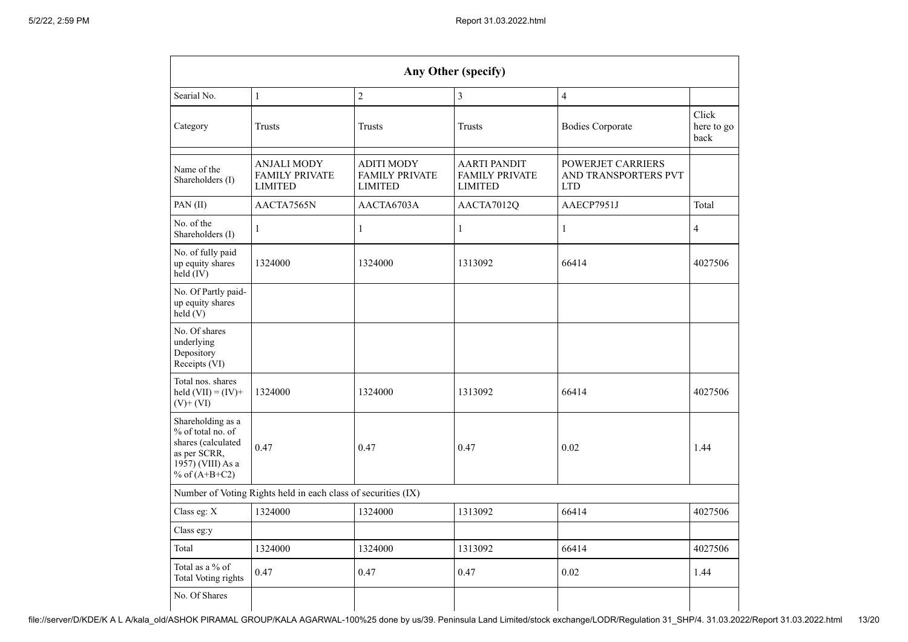| Any Other (specify)                                                                                                  |                                                               |                                                              |                                                         |                                                                |                             |  |  |  |  |  |
|----------------------------------------------------------------------------------------------------------------------|---------------------------------------------------------------|--------------------------------------------------------------|---------------------------------------------------------|----------------------------------------------------------------|-----------------------------|--|--|--|--|--|
| $\overline{2}$<br>$\mathbf{1}$<br>$\overline{\mathbf{3}}$<br>$\overline{4}$<br>Searial No.                           |                                                               |                                                              |                                                         |                                                                |                             |  |  |  |  |  |
| Category                                                                                                             | Trusts                                                        |                                                              | Trusts                                                  | <b>Bodies Corporate</b>                                        | Click<br>here to go<br>back |  |  |  |  |  |
| Name of the<br>Shareholders (I)                                                                                      | <b>ANJALI MODY</b><br><b>FAMILY PRIVATE</b><br><b>LIMITED</b> | <b>ADITI MODY</b><br><b>FAMILY PRIVATE</b><br><b>LIMITED</b> | AARTI PANDIT<br><b>FAMILY PRIVATE</b><br><b>LIMITED</b> | <b>POWERJET CARRIERS</b><br>AND TRANSPORTERS PVT<br><b>LTD</b> |                             |  |  |  |  |  |
| PAN(II)                                                                                                              | AACTA7565N                                                    | AACTA6703A                                                   | AACTA7012Q                                              | AAECP7951J                                                     | Total                       |  |  |  |  |  |
| No. of the<br>Shareholders (I)                                                                                       | $\mathbf{1}$                                                  | $\mathbf{1}$                                                 | $\mathbf{1}$                                            | $\mathbf{1}$                                                   | $\overline{4}$              |  |  |  |  |  |
| No. of fully paid<br>up equity shares<br>$held$ (IV)                                                                 | 1324000                                                       | 1324000                                                      | 1313092                                                 | 66414                                                          | 4027506                     |  |  |  |  |  |
| No. Of Partly paid-<br>up equity shares<br>held(V)                                                                   |                                                               |                                                              |                                                         |                                                                |                             |  |  |  |  |  |
| No. Of shares<br>underlying<br>Depository<br>Receipts (VI)                                                           |                                                               |                                                              |                                                         |                                                                |                             |  |  |  |  |  |
| Total nos. shares<br>held $(VII) = (IV) +$<br>$(V)$ + $(VI)$                                                         | 1324000                                                       | 1324000                                                      | 1313092                                                 | 66414                                                          | 4027506                     |  |  |  |  |  |
| Shareholding as a<br>% of total no. of<br>shares (calculated<br>as per SCRR,<br>1957) (VIII) As a<br>% of $(A+B+C2)$ | 0.47                                                          | 0.47                                                         | 0.47                                                    | 0.02                                                           | 1.44                        |  |  |  |  |  |
|                                                                                                                      | Number of Voting Rights held in each class of securities (IX) |                                                              |                                                         |                                                                |                             |  |  |  |  |  |
| Class eg: X                                                                                                          | 1324000                                                       | 1324000                                                      | 1313092                                                 | 66414                                                          | 4027506                     |  |  |  |  |  |
| Class eg:y                                                                                                           |                                                               |                                                              |                                                         |                                                                |                             |  |  |  |  |  |
| Total                                                                                                                | 1324000                                                       | 1324000                                                      | 1313092                                                 | 66414                                                          | 4027506                     |  |  |  |  |  |
| Total as a % of<br>Total Voting rights                                                                               | 0.47                                                          | 0.47                                                         | 0.47                                                    | 0.02                                                           | 1.44                        |  |  |  |  |  |
| No. Of Shares                                                                                                        |                                                               |                                                              |                                                         |                                                                |                             |  |  |  |  |  |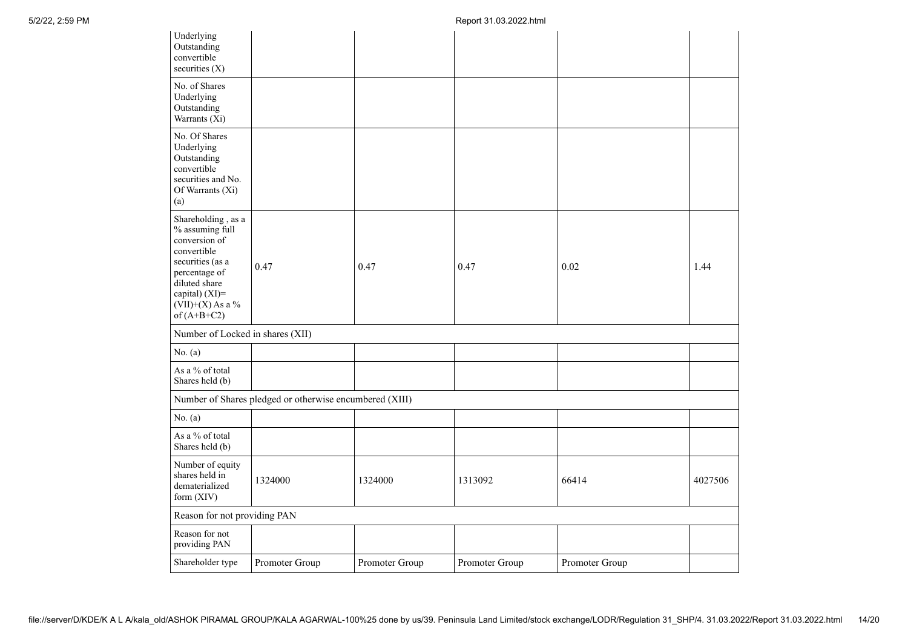| Underlying<br>Outstanding<br>convertible<br>securities $(X)$                                                                                                                         |                                                         |                |                |                |         |
|--------------------------------------------------------------------------------------------------------------------------------------------------------------------------------------|---------------------------------------------------------|----------------|----------------|----------------|---------|
| No. of Shares<br>Underlying<br>Outstanding<br>Warrants (Xi)                                                                                                                          |                                                         |                |                |                |         |
| No. Of Shares<br>Underlying<br>Outstanding<br>convertible<br>securities and No.<br>Of Warrants (Xi)<br>(a)                                                                           |                                                         |                |                |                |         |
| Shareholding, as a<br>% assuming full<br>conversion of<br>convertible<br>securities (as a<br>percentage of<br>diluted share<br>capital) (XI)=<br>$(VII)+(X)$ As a %<br>of $(A+B+C2)$ | 0.47                                                    | 0.47           | 0.47           | 0.02           | 1.44    |
| Number of Locked in shares (XII)                                                                                                                                                     |                                                         |                |                |                |         |
| No. $(a)$                                                                                                                                                                            |                                                         |                |                |                |         |
| As a % of total<br>Shares held (b)                                                                                                                                                   |                                                         |                |                |                |         |
|                                                                                                                                                                                      | Number of Shares pledged or otherwise encumbered (XIII) |                |                |                |         |
| No. $(a)$                                                                                                                                                                            |                                                         |                |                |                |         |
| As a % of total<br>Shares held (b)                                                                                                                                                   |                                                         |                |                |                |         |
| Number of equity<br>shares held in<br>dematerialized<br>form (XIV)                                                                                                                   | 1324000                                                 | 1324000        | 1313092        | 66414          | 4027506 |
| Reason for not providing PAN                                                                                                                                                         |                                                         |                |                |                |         |
| Reason for not<br>providing PAN                                                                                                                                                      |                                                         |                |                |                |         |
| Shareholder type                                                                                                                                                                     | Promoter Group                                          | Promoter Group | Promoter Group | Promoter Group |         |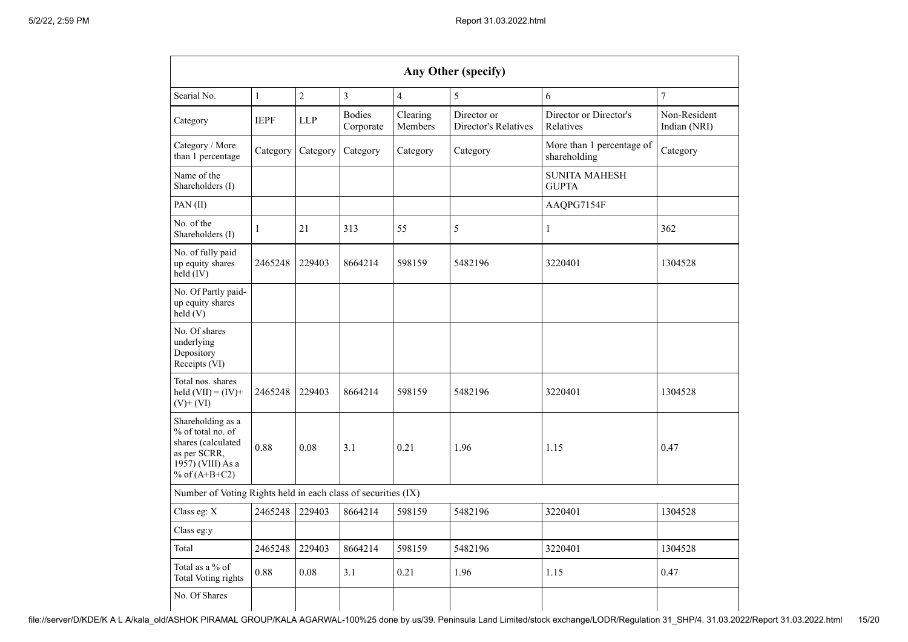| Any Other (specify)                                                                                                  |                                                                                                |            |                            |                     |                                     |                                           |                              |  |  |  |
|----------------------------------------------------------------------------------------------------------------------|------------------------------------------------------------------------------------------------|------------|----------------------------|---------------------|-------------------------------------|-------------------------------------------|------------------------------|--|--|--|
| Searial No.                                                                                                          | $\overline{2}$<br>$\overline{7}$<br>$\overline{3}$<br>6<br>$\mathbf{1}$<br>$\overline{4}$<br>5 |            |                            |                     |                                     |                                           |                              |  |  |  |
| Category                                                                                                             | <b>IEPF</b>                                                                                    | <b>LLP</b> | <b>Bodies</b><br>Corporate | Clearing<br>Members | Director or<br>Director's Relatives | Director or Director's<br>Relatives       | Non-Resident<br>Indian (NRI) |  |  |  |
| Category / More<br>than 1 percentage                                                                                 | Category                                                                                       | Category   | Category                   | Category            | Category                            | More than 1 percentage of<br>shareholding | Category                     |  |  |  |
| Name of the<br>Shareholders (I)                                                                                      |                                                                                                |            |                            |                     |                                     | <b>SUNITA MAHESH</b><br><b>GUPTA</b>      |                              |  |  |  |
| PAN(II)                                                                                                              |                                                                                                |            |                            |                     |                                     | AAQPG7154F                                |                              |  |  |  |
| No. of the<br>Shareholders (I)                                                                                       | 1                                                                                              | 21         | 313                        | 55                  | 5                                   | 1                                         | 362                          |  |  |  |
| No. of fully paid<br>up equity shares<br>held (IV)                                                                   | 2465248                                                                                        | 229403     | 8664214                    | 598159              | 5482196                             | 3220401                                   | 1304528                      |  |  |  |
| No. Of Partly paid-<br>up equity shares<br>held (V)                                                                  |                                                                                                |            |                            |                     |                                     |                                           |                              |  |  |  |
| No. Of shares<br>underlying<br>Depository<br>Receipts (VI)                                                           |                                                                                                |            |                            |                     |                                     |                                           |                              |  |  |  |
| Total nos. shares<br>held $(VII) = (IV) +$<br>$(V)+(VI)$                                                             | 2465248                                                                                        | 229403     | 8664214                    | 598159              | 5482196                             | 3220401                                   | 1304528                      |  |  |  |
| Shareholding as a<br>% of total no. of<br>shares (calculated<br>as per SCRR,<br>1957) (VIII) As a<br>% of $(A+B+C2)$ | 0.88                                                                                           | 0.08       | 3.1                        | 0.21                | 1.96                                | 1.15                                      | 0.47                         |  |  |  |
| Number of Voting Rights held in each class of securities (IX)                                                        |                                                                                                |            |                            |                     |                                     |                                           |                              |  |  |  |
| Class eg: X                                                                                                          | 2465248                                                                                        | 229403     | 8664214                    | 598159              | 5482196                             | 3220401                                   | 1304528                      |  |  |  |
| Class eg:y                                                                                                           |                                                                                                |            |                            |                     |                                     |                                           |                              |  |  |  |
| Total                                                                                                                | 2465248                                                                                        | 229403     | 8664214                    | 598159              | 5482196                             | 3220401                                   | 1304528                      |  |  |  |
| Total as a $\%$ of<br><b>Total Voting rights</b>                                                                     | 0.88                                                                                           | 0.08       | 3.1                        | 0.21                | 1.96                                | 1.15                                      | 0.47                         |  |  |  |
| No. Of Shares                                                                                                        |                                                                                                |            |                            |                     |                                     |                                           |                              |  |  |  |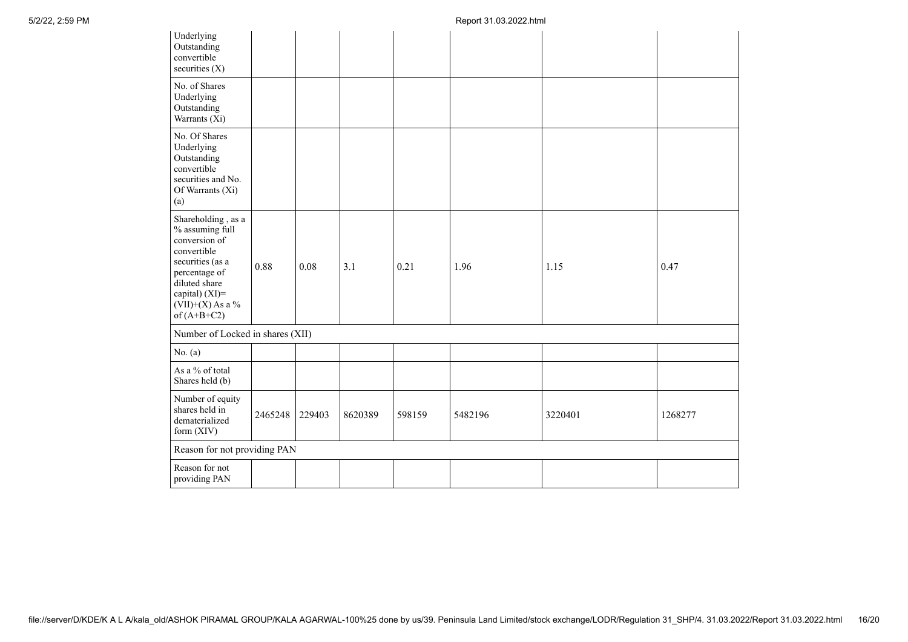| Underlying<br>Outstanding<br>convertible<br>securities (X)                                                                                                                           |         |        |         |        |         |         |         |
|--------------------------------------------------------------------------------------------------------------------------------------------------------------------------------------|---------|--------|---------|--------|---------|---------|---------|
| No. of Shares<br>Underlying<br>Outstanding<br>Warrants (Xi)                                                                                                                          |         |        |         |        |         |         |         |
| No. Of Shares<br>Underlying<br>Outstanding<br>convertible<br>securities and No.<br>Of Warrants (Xi)<br>(a)                                                                           |         |        |         |        |         |         |         |
| Shareholding, as a<br>% assuming full<br>conversion of<br>convertible<br>securities (as a<br>percentage of<br>diluted share<br>capital) (XI)=<br>$(VII)+(X)$ As a %<br>of $(A+B+C2)$ | 0.88    | 0.08   | 3.1     | 0.21   | 1.96    | 1.15    | 0.47    |
| Number of Locked in shares (XII)                                                                                                                                                     |         |        |         |        |         |         |         |
| No. $(a)$                                                                                                                                                                            |         |        |         |        |         |         |         |
| As a % of total<br>Shares held (b)                                                                                                                                                   |         |        |         |        |         |         |         |
| Number of equity<br>shares held in<br>dematerialized<br>form (XIV)                                                                                                                   | 2465248 | 229403 | 8620389 | 598159 | 5482196 | 3220401 | 1268277 |
| Reason for not providing PAN                                                                                                                                                         |         |        |         |        |         |         |         |
| Reason for not<br>providing PAN                                                                                                                                                      |         |        |         |        |         |         |         |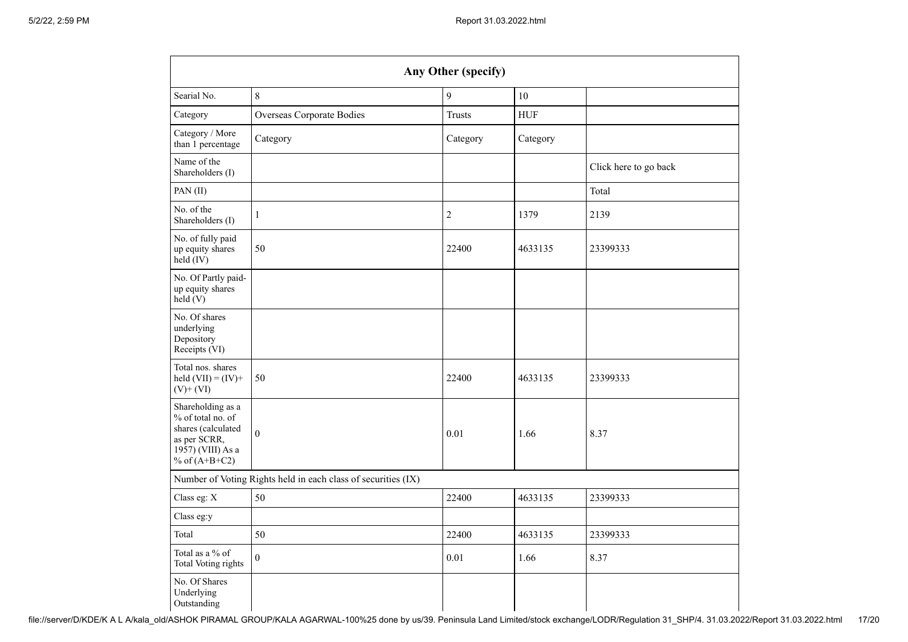| Any Other (specify)                                                                                                  |                                                               |                |             |                       |  |  |  |  |  |  |
|----------------------------------------------------------------------------------------------------------------------|---------------------------------------------------------------|----------------|-------------|-----------------------|--|--|--|--|--|--|
| Searial No.                                                                                                          | $\,8\,$                                                       | 10             |             |                       |  |  |  |  |  |  |
| Category                                                                                                             | Overseas Corporate Bodies                                     | <b>Trusts</b>  | ${\rm HUF}$ |                       |  |  |  |  |  |  |
| Category / More<br>than 1 percentage                                                                                 | Category                                                      | Category       | Category    |                       |  |  |  |  |  |  |
| Name of the<br>Shareholders (I)                                                                                      |                                                               |                |             | Click here to go back |  |  |  |  |  |  |
| PAN(II)                                                                                                              |                                                               |                |             | Total                 |  |  |  |  |  |  |
| No. of the<br>Shareholders (I)                                                                                       | $\mathbf{1}$                                                  | $\overline{c}$ | 1379        | 2139                  |  |  |  |  |  |  |
| No. of fully paid<br>up equity shares<br>held (IV)                                                                   | 50                                                            | 22400          | 4633135     | 23399333              |  |  |  |  |  |  |
| No. Of Partly paid-<br>up equity shares<br>held(V)                                                                   |                                                               |                |             |                       |  |  |  |  |  |  |
| No. Of shares<br>underlying<br>Depository<br>Receipts (VI)                                                           |                                                               |                |             |                       |  |  |  |  |  |  |
| Total nos. shares<br>held $(VII) = (IV) +$<br>$(V)$ + $(VI)$                                                         | 50                                                            | 22400          | 4633135     | 23399333              |  |  |  |  |  |  |
| Shareholding as a<br>% of total no. of<br>shares (calculated<br>as per SCRR,<br>1957) (VIII) As a<br>% of $(A+B+C2)$ | $\boldsymbol{0}$                                              | 0.01           | 1.66        | 8.37                  |  |  |  |  |  |  |
|                                                                                                                      | Number of Voting Rights held in each class of securities (IX) |                |             |                       |  |  |  |  |  |  |
| Class eg: X                                                                                                          | 50                                                            | 22400          | 4633135     | 23399333              |  |  |  |  |  |  |
| Class eg:y                                                                                                           |                                                               |                |             |                       |  |  |  |  |  |  |
| Total                                                                                                                | 50                                                            | 22400          | 4633135     | 23399333              |  |  |  |  |  |  |
| Total as a % of<br>Total Voting rights                                                                               | $\boldsymbol{0}$                                              | 0.01           | 1.66        | 8.37                  |  |  |  |  |  |  |
| No. Of Shares<br>Underlying<br>Outstanding                                                                           |                                                               |                |             |                       |  |  |  |  |  |  |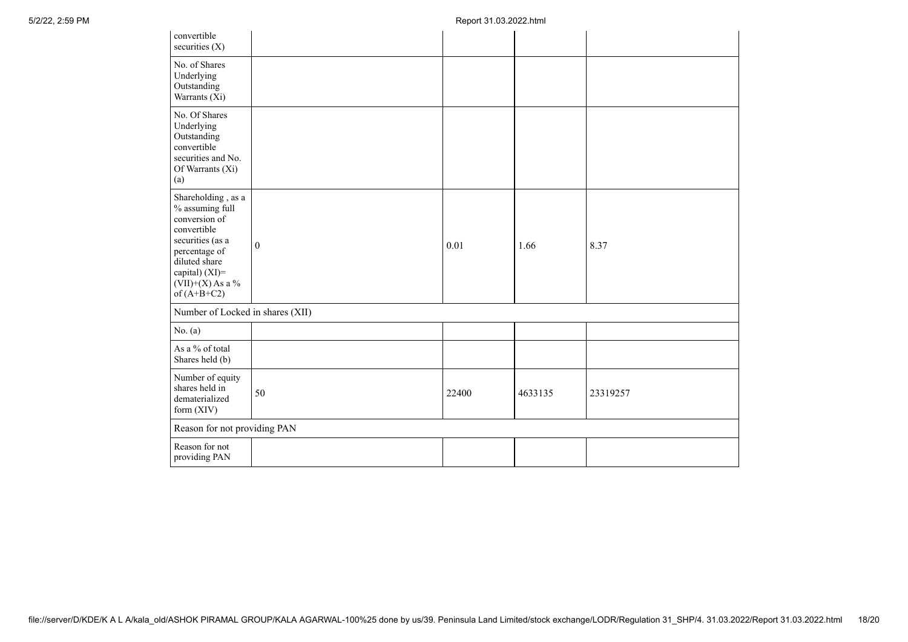| convertible<br>securities (X)                                                                                                                                                        |              |       |         |          |
|--------------------------------------------------------------------------------------------------------------------------------------------------------------------------------------|--------------|-------|---------|----------|
| No. of Shares<br>Underlying<br>Outstanding<br>Warrants (Xi)                                                                                                                          |              |       |         |          |
| No. Of Shares<br>Underlying<br>Outstanding<br>convertible<br>securities and No.<br>Of Warrants (Xi)<br>(a)                                                                           |              |       |         |          |
| Shareholding, as a<br>% assuming full<br>conversion of<br>convertible<br>securities (as a<br>percentage of<br>diluted share<br>capital) (XI)=<br>$(VII)+(X)$ As a %<br>of $(A+B+C2)$ | $\mathbf{0}$ | 0.01  | 1.66    | 8.37     |
| Number of Locked in shares (XII)                                                                                                                                                     |              |       |         |          |
| No. (a)                                                                                                                                                                              |              |       |         |          |
| As a % of total<br>Shares held (b)                                                                                                                                                   |              |       |         |          |
| Number of equity<br>shares held in<br>dematerialized<br>form (XIV)                                                                                                                   | 50           | 22400 | 4633135 | 23319257 |
| Reason for not providing PAN                                                                                                                                                         |              |       |         |          |
| Reason for not<br>providing PAN                                                                                                                                                      |              |       |         |          |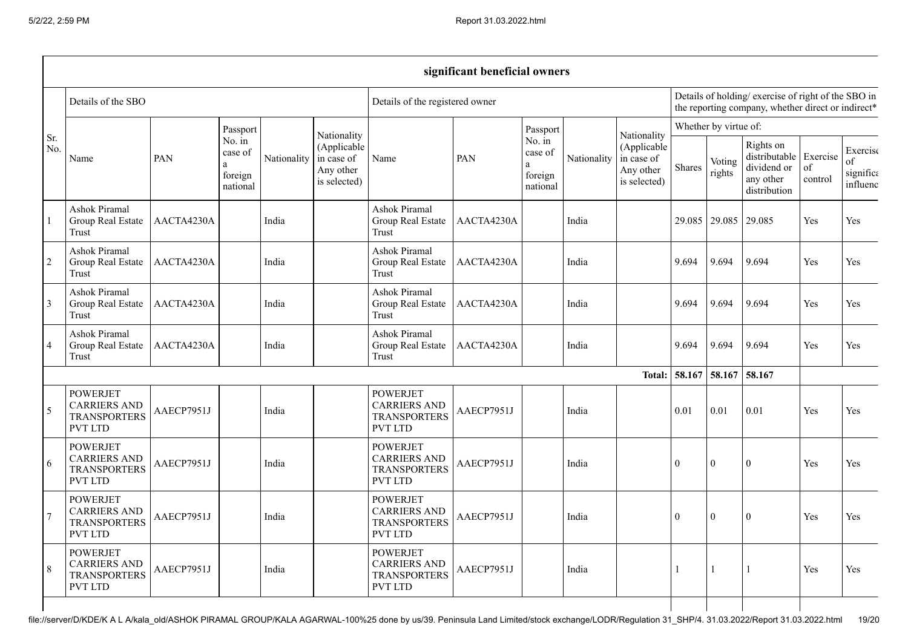|                |                                                                                 |            |                                          |             |                                                                       |                                                                                 | significant beneficial owners |                                                              |             |                                                                                                           |              |                       |                                                                        |                           |                                         |
|----------------|---------------------------------------------------------------------------------|------------|------------------------------------------|-------------|-----------------------------------------------------------------------|---------------------------------------------------------------------------------|-------------------------------|--------------------------------------------------------------|-------------|-----------------------------------------------------------------------------------------------------------|--------------|-----------------------|------------------------------------------------------------------------|---------------------------|-----------------------------------------|
|                | Details of the SBO                                                              |            |                                          |             |                                                                       | Details of the registered owner                                                 |                               |                                                              |             | Details of holding/ exercise of right of the SBO in<br>the reporting company, whether direct or indirect* |              |                       |                                                                        |                           |                                         |
|                |                                                                                 |            | Passport                                 |             |                                                                       |                                                                                 |                               | Passport                                                     |             |                                                                                                           |              | Whether by virtue of: |                                                                        |                           |                                         |
| Sr.<br>No.     | Name                                                                            | PAN        | No. in<br>case of<br>foreign<br>national | Nationality | Nationality<br>(Applicable<br>in case of<br>Any other<br>is selected) | Name                                                                            | PAN<br>a                      | No. $\overline{\text{in}}$<br>case of<br>foreign<br>national | Nationality | Nationality<br>(Applicable<br>in case of<br>Any other<br>is selected)                                     | Shares       | Voting<br>rights      | Rights on<br>distributable<br>dividend or<br>any other<br>distribution | Exercise<br>of<br>control | Exercise<br>of<br>significa<br>influenc |
|                | Ashok Piramal<br>Group Real Estate<br>Trust                                     | AACTA4230A |                                          | India       |                                                                       | <b>Ashok Piramal</b><br>Group Real Estate<br>Trust                              | AACTA4230A                    |                                                              | India       |                                                                                                           | 29.085       | 29.085                | 29.085                                                                 | Yes                       | Yes                                     |
| $\overline{2}$ | Ashok Piramal<br>Group Real Estate<br>Trust                                     | AACTA4230A |                                          | India       |                                                                       | Ashok Piramal<br>Group Real Estate<br>Trust                                     | AACTA4230A                    |                                                              | India       |                                                                                                           | 9.694        | 9.694                 | 9.694                                                                  | Yes                       | Yes                                     |
| $\overline{3}$ | Ashok Piramal<br>Group Real Estate<br>Trust                                     | AACTA4230A |                                          | India       |                                                                       | Ashok Piramal<br>Group Real Estate<br>Trust                                     | AACTA4230A                    |                                                              | India       |                                                                                                           | 9.694        | 9.694                 | 9.694                                                                  | Yes                       | Yes                                     |
| $\overline{4}$ | <b>Ashok Piramal</b><br>Group Real Estate<br>Trust                              | AACTA4230A |                                          | India       |                                                                       | Ashok Piramal<br>Group Real Estate<br>Trust                                     | AACTA4230A                    |                                                              | India       |                                                                                                           | 9.694        | 9.694                 | 9.694                                                                  | Yes                       | Yes                                     |
|                |                                                                                 |            |                                          |             |                                                                       |                                                                                 |                               |                                                              |             | Total:                                                                                                    | 58.167       | 58.167                | 58.167                                                                 |                           |                                         |
| 5              | <b>POWERJET</b><br><b>CARRIERS AND</b><br><b>TRANSPORTERS</b><br><b>PVT LTD</b> | AAECP7951J |                                          | India       |                                                                       | <b>POWERJET</b><br><b>CARRIERS AND</b><br><b>TRANSPORTERS</b><br><b>PVT LTD</b> | AAECP7951J                    |                                                              | India       |                                                                                                           | 0.01         | 0.01                  | 0.01                                                                   | Yes                       | Yes                                     |
| 6              | <b>POWERJET</b><br><b>CARRIERS AND</b><br><b>TRANSPORTERS</b><br><b>PVT LTD</b> | AAECP7951J |                                          | India       |                                                                       | <b>POWERJET</b><br><b>CARRIERS AND</b><br><b>TRANSPORTERS</b><br><b>PVT LTD</b> | AAECP7951J                    |                                                              | India       |                                                                                                           | $\mathbf{0}$ | $\Omega$              | $\Omega$                                                               | <b>Yes</b>                | Yes                                     |
|                | <b>POWERJET</b><br><b>CARRIERS AND</b><br><b>TRANSPORTERS</b><br>PVT LTD        | AAECP7951J |                                          | India       |                                                                       | <b>POWERJET</b><br><b>CARRIERS AND</b><br><b>TRANSPORTERS</b><br><b>PVT LTD</b> | AAECP7951J                    |                                                              | India       |                                                                                                           | $\theta$     | $\mathbf{0}$          | $\Omega$                                                               | Yes                       | Yes                                     |
| 8              | <b>POWERJET</b><br><b>CARRIERS AND</b><br><b>TRANSPORTERS</b><br><b>PVT LTD</b> | AAECP7951J |                                          | India       |                                                                       | <b>POWERJET</b><br><b>CARRIERS AND</b><br><b>TRANSPORTERS</b><br><b>PVT LTD</b> | AAECP7951J                    |                                                              | India       |                                                                                                           |              |                       | $\mathbf{1}$                                                           | Yes                       | Yes                                     |
|                |                                                                                 |            |                                          |             |                                                                       |                                                                                 |                               |                                                              |             |                                                                                                           |              |                       |                                                                        |                           |                                         |